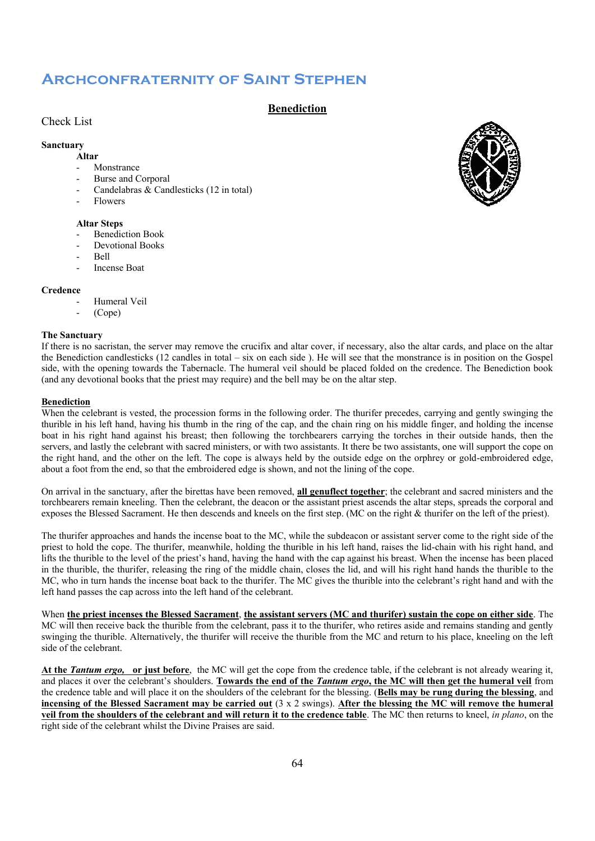## **Archconfraternity of Saint Stephen**

## **Benediction**

## Check List

## **Sanctuary**

- **Altar**
- Monstrance
- Burse and Corporal Candelabras & Candlesticks (12 in total)
- **Flowers**
- 

## **Altar Steps**

- Benediction Book
- Devotional Books
- Bell
- Incense Boat

#### **Credence**

- Humeral Veil
- (Cope)

#### **The Sanctuary**

If there is no sacristan, the server may remove the crucifix and altar cover, if necessary, also the altar cards, and place on the altar the Benediction candlesticks (12 candles in total – six on each side ). He will see that the monstrance is in position on the Gospel side, with the opening towards the Tabernacle. The humeral veil should be placed folded on the credence. The Benediction book (and any devotional books that the priest may require) and the bell may be on the altar step.

#### **Benediction**

When the celebrant is vested, the procession forms in the following order. The thurifer precedes, carrying and gently swinging the thurible in his left hand, having his thumb in the ring of the cap, and the chain ring on his middle finger, and holding the incense boat in his right hand against his breast; then following the torchbearers carrying the torches in their outside hands, then the servers, and lastly the celebrant with sacred ministers, or with two assistants. It there be two assistants, one will support the cope on the right hand, and the other on the left. The cope is always held by the outside edge on the orphrey or gold-embroidered edge, about a foot from the end, so that the embroidered edge is shown, and not the lining of the cope.

On arrival in the sanctuary, after the birettas have been removed, **all genuflect together**; the celebrant and sacred ministers and the torchbearers remain kneeling. Then the celebrant, the deacon or the assistant priest ascends the altar steps, spreads the corporal and exposes the Blessed Sacrament. He then descends and kneels on the first step. (MC on the right & thurifer on the left of the priest).

The thurifer approaches and hands the incense boat to the MC, while the subdeacon or assistant server come to the right side of the priest to hold the cope. The thurifer, meanwhile, holding the thurible in his left hand, raises the lid-chain with his right hand, and lifts the thurible to the level of the priest's hand, having the hand with the cap against his breast. When the incense has been placed in the thurible, the thurifer, releasing the ring of the middle chain, closes the lid, and will his right hand hands the thurible to the MC, who in turn hands the incense boat back to the thurifer. The MC gives the thurible into the celebrant's right hand and with the left hand passes the cap across into the left hand of the celebrant.

When **the priest incenses the Blessed Sacrament**, **the assistant servers (MC and thurifer) sustain the cope on either side**. The MC will then receive back the thurible from the celebrant, pass it to the thurifer, who retires aside and remains standing and gently swinging the thurible. Alternatively, the thurifer will receive the thurible from the MC and return to his place, kneeling on the left side of the celebrant.

**At the** *Tantum ergo,* **or just before**, the MC will get the cope from the credence table, if the celebrant is not already wearing it, and places it over the celebrant's shoulders. **Towards the end of the** *Tantum ergo***, the MC will then get the humeral veil** from the credence table and will place it on the shoulders of the celebrant for the blessing. (**Bells may be rung during the blessing**, and **incensing of the Blessed Sacrament may be carried out** (3 x 2 swings). **After the blessing the MC will remove the humeral veil from the shoulders of the celebrant and will return it to the credence table**. The MC then returns to kneel, *in plano*, on the right side of the celebrant whilst the Divine Praises are said.

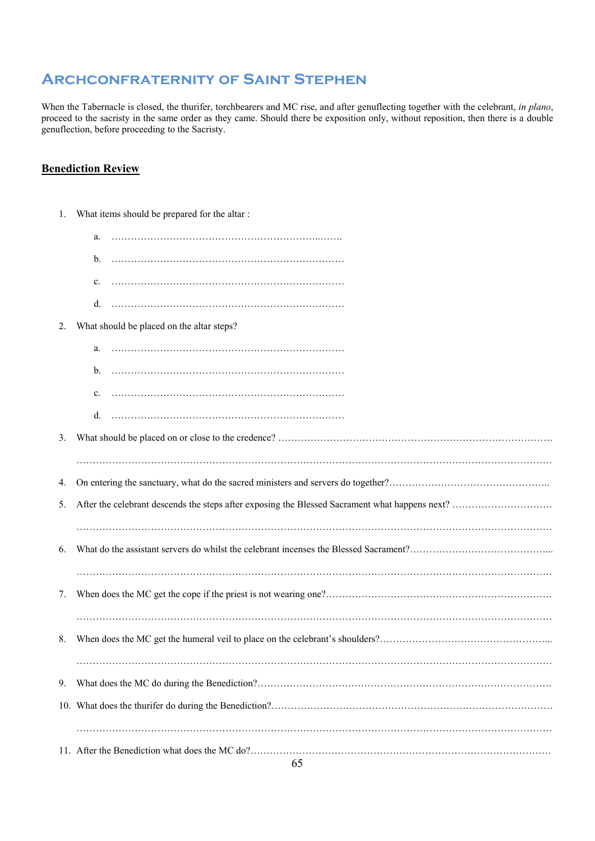# **Archconfraternity of Saint Stephen**

When the Tabernacle is closed, the thurifer, torchbearers and MC rise, and after genuflecting together with the celebrant, *in plano*, proceed to the sacristy in the same order as they came. Should there be exposition only, without reposition, then there is a double genuflection, before proceeding to the Sacristy.

## **Benediction Review**

| 1. | What items should be prepared for the altar : |
|----|-----------------------------------------------|
|    | a.                                            |
|    | b.                                            |
|    | c.                                            |
|    | d.                                            |
| 2. | What should be placed on the altar steps?     |
|    | a.                                            |
|    | b.                                            |
|    | c.                                            |
|    | d.                                            |
| 3. |                                               |
|    |                                               |
| 4. |                                               |
| 5. |                                               |
|    |                                               |
| 6. |                                               |
|    |                                               |
| 7. |                                               |
|    |                                               |
| 8. |                                               |
| 9. |                                               |
|    |                                               |
|    |                                               |
|    |                                               |
|    |                                               |